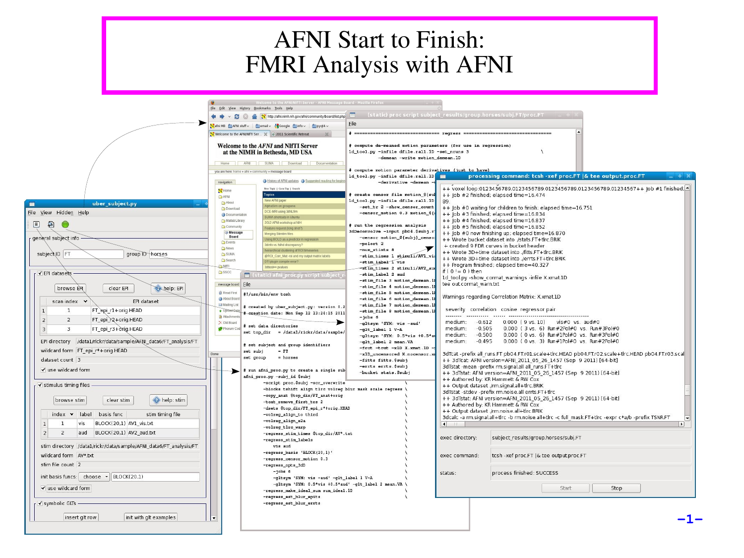# AFNI Start to Finish: FMRI Analysis with AFNI

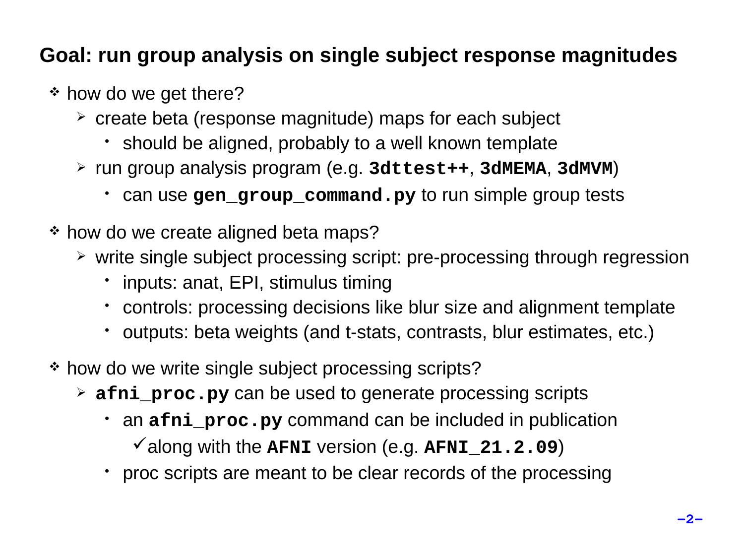### **Goal: run group analysis on single subject response magnitudes**

- \* how do we get there?
	- $\geq$  create beta (response magnitude) maps for each subject
		- should be aligned, probably to a well known template
	- run group analysis program (e.g. **3dttest++**, **3dMEMA**, **3dMVM**)
		- can use **gen\_group\_command.py** to run simple group tests
- \* how do we create aligned beta maps?
	- $\geq$  write single subject processing script: pre-processing through regression
		- inputs: anat, EPI, stimulus timing
		- controls: processing decisions like blur size and alignment template
		- outputs: beta weights (and t-stats, contrasts, blur estimates, etc.)
- \* how do we write single subject processing scripts?
	- **afni\_proc.py** can be used to generate processing scripts
		- an **afni\_proc.py** command can be included in publication  $\checkmark$  along with the **AFNI** version (e.g. **AFNI** 21.2.09)
		- proc scripts are meant to be clear records of the processing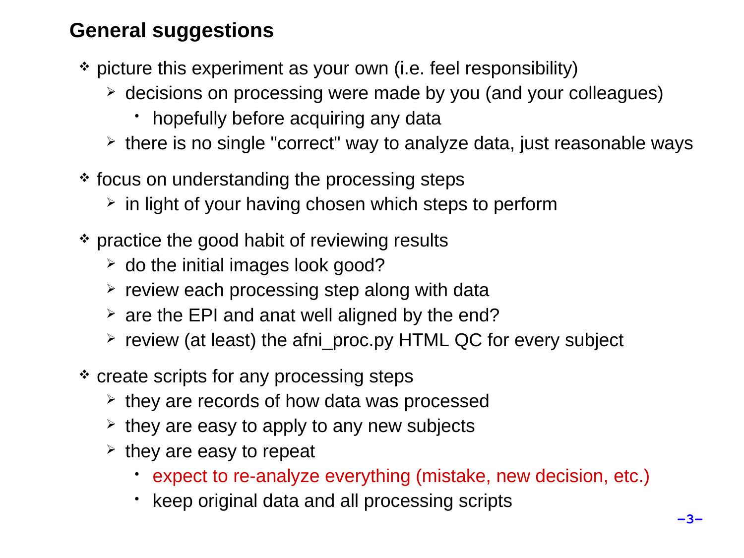### **General suggestions**

- picture this experiment as your own (i.e. feel responsibility)
	- decisions on processing were made by you (and your colleagues)
		- hopefully before acquiring any data
	- $\geq$  there is no single "correct" way to analyze data, just reasonable ways
- \* focus on understanding the processing steps
	- $\geq$  in light of your having chosen which steps to perform
- \* practice the good habit of reviewing results
	- $\geq$  do the initial images look good?
	- $\ge$  review each processing step along with data
	- $\geq$  are the EPI and anat well aligned by the end?
	- $\geq$  review (at least) the afni proc.py HTML QC for every subject
- \* create scripts for any processing steps
	- $\geq$  they are records of how data was processed
	- $\geq$  they are easy to apply to any new subjects
	- $\ge$  they are easy to repeat
		- expect to re-analyze everything (mistake, new decision, etc.)
		- keep original data and all processing scripts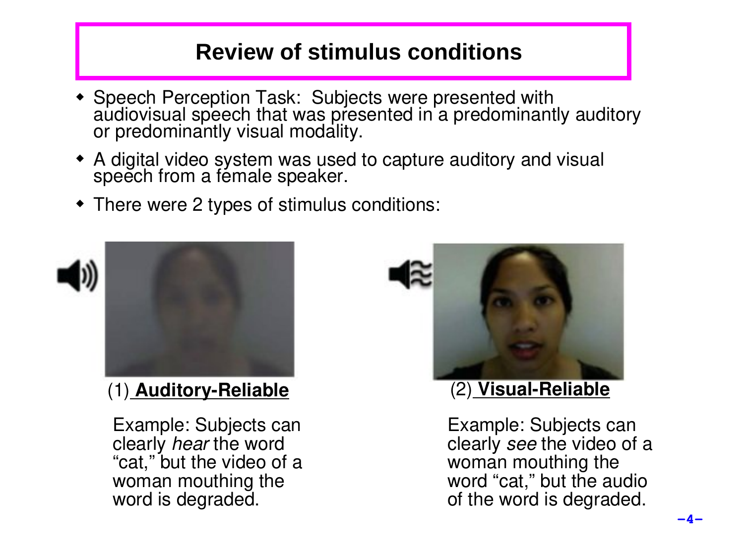# **Review of stimulus conditions**

- Speech Perception Task: Subjects were presented with audiovisual speech that was presented in a predominantly auditory or predominantly visual modality.
- A digital video system was used to capture auditory and visual speech from a female speaker.
- There were 2 types of stimulus conditions:



Example: Subjects can clearly *hear* the word "cat," but the video of a woman mouthing the word is degraded.



Example: Subjects can clearly *see* the video of a woman mouthing the word "cat," but the audio of the word is degraded.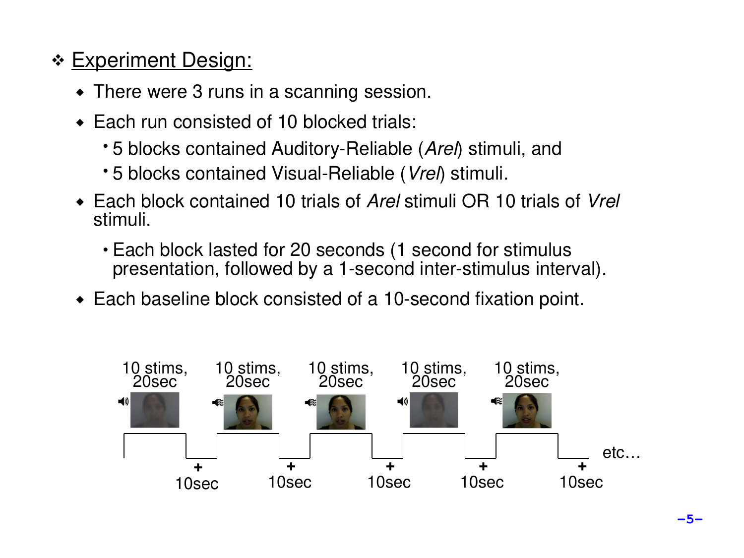# \* Experiment Design:

- There were 3 runs in a scanning session.
- ◆ Each run consisted of 10 blocked trials:
	- 5 blocks contained Auditory-Reliable (*Arel*) stimuli, and
	- 5 blocks contained Visual-Reliable (*Vrel*) stimuli.
- Each block contained 10 trials of *Arel* stimuli OR 10 trials of *Vrel* stimuli.
	- Each block lasted for 20 seconds (1 second for stimulus presentation, followed by a 1-second inter-stimulus interval).
- Each baseline block consisted of a 10-second fixation point.

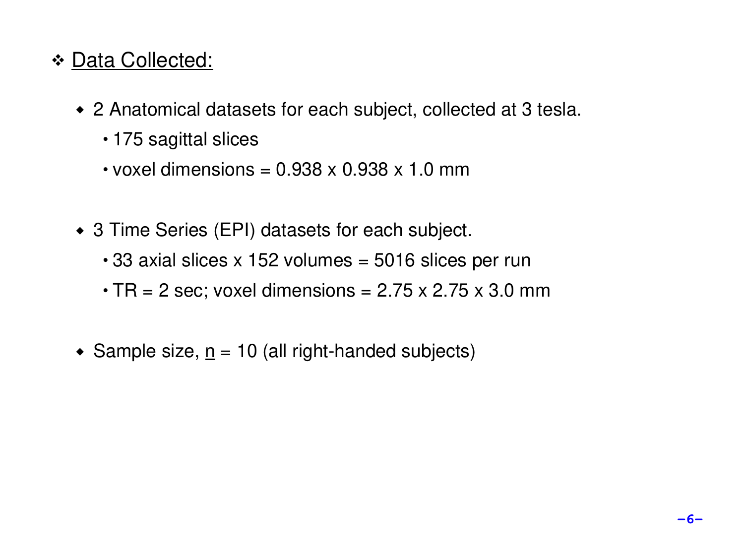# \* Data Collected:

- 2 Anatomical datasets for each subject, collected at 3 tesla.
	- 175 sagittal slices
	- $\cdot$  voxel dimensions = 0.938 x 0.938 x 1.0 mm
- ◆ 3 Time Series (EPI) datasets for each subject.
	- $\cdot$  33 axial slices x 152 volumes = 5016 slices per run
	- $\cdot$  TR = 2 sec; voxel dimensions = 2.75 x 2.75 x 3.0 mm
- Sample size,  $n = 10$  (all right-handed subjects)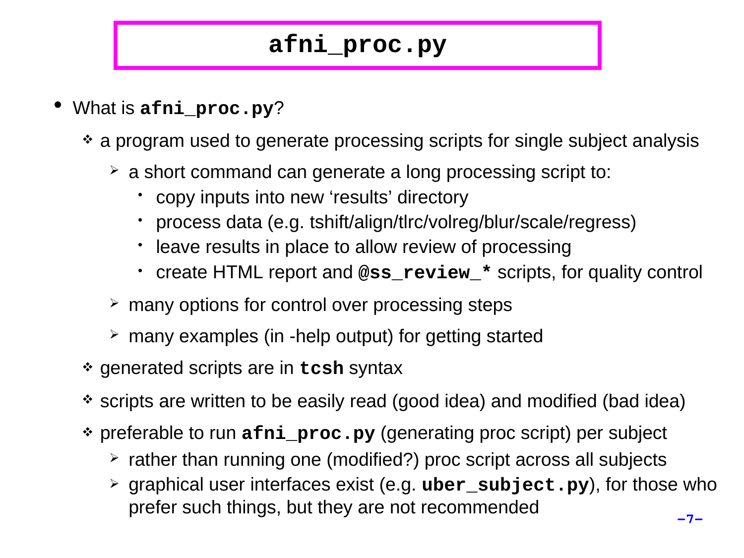# **afni\_proc.py**

- What is **afni\_proc.py**?
	- a program used to generate processing scripts for single subject analysis
		- $\geq$  a short command can generate a long processing script to:
			- copy inputs into new 'results' directory
			- process data (e.g. tshift/align/tlrc/volreg/blur/scale/regress)
			- leave results in place to allow review of processing
			- create HTML report and **@ss\_review\_\*** scripts, for quality control
		- $\geq$  many options for control over processing steps
		- $\geq$  many examples (in -help output) for getting started
	- generated scripts are in **tcsh** syntax
	- scripts are written to be easily read (good idea) and modified (bad idea)
	- preferable to run **afni\_proc.py** (generating proc script) per subject
		- $\geq$  rather than running one (modified?) proc script across all subjects
		- graphical user interfaces exist (e.g. **uber\_subject.py**), for those who prefer such things, but they are not recommended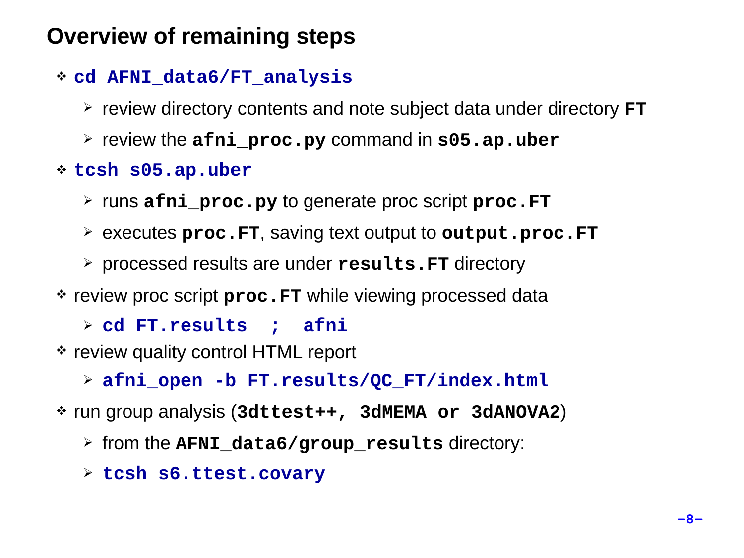# **Overview of remaining steps**

- **cd AFNI\_data6/FT\_analysis**
	- review directory contents and note subject data under directory **FT**
	- review the **afni\_proc.py** command in **s05.ap.uber**
- **tcsh s05.ap.uber**
	- runs **afni\_proc.py** to generate proc script **proc.FT**
	- executes **proc.FT**, saving text output to **output.proc.FT**
	- processed results are under **results.FT** directory
- \* review proc script **proc.FT** while viewing processed data
	- **cd FT.results ; afni**
- \* review quality control HTML report
	- **afni\_open -b FT.results/QC\_FT/index.html**
- run group analysis (**3dttest++, 3dMEMA or 3dANOVA2**)
	- from the **AFNI\_data6/group\_results** directory:
	- **tcsh s6.ttest.covary**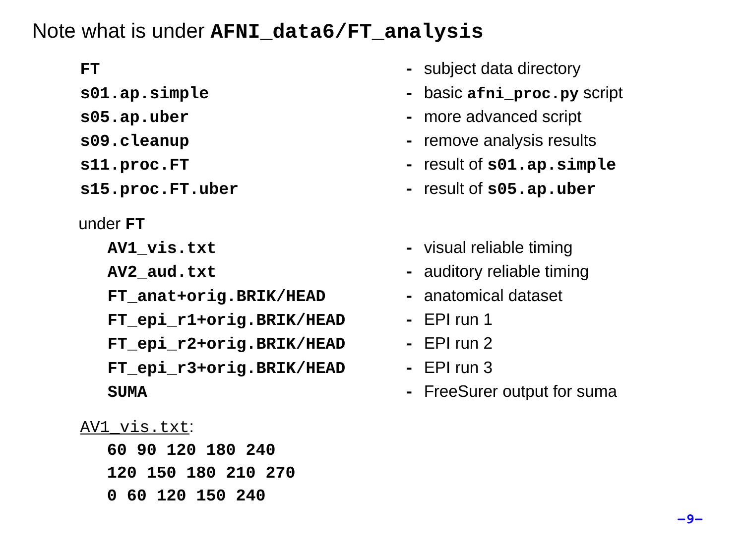### Note what is under **AFNI\_data6/FT\_analysis**

- 
- 
- 
- 
- 

### under **FT**

- 
- 
- **FT\_anat+orig.BRIK/HEAD** anatomical dataset
- **FT\_epi\_r1+orig.BRIK/HEAD** EPI run 1
- **FT\_epi\_r2+orig.BRIK/HEAD** EPI run 2
- **FT\_epi\_r3+orig.BRIK/HEAD** EPI run 3

### AV1\_vis.txt:

**60 90 120 180 240 120 150 180 210 270 0 60 120 150 240**

- **FT - Subject data directory**
- **s01.ap.simple basic afni\_proc.py** script
- **s05.ap.uber more advanced script**
- **s09.cleanup** *remove analysis results*
- **s11.proc.FT result of <b>s01.ap.simple**
- **s15.proc.FT.uber** *result of <b>s05.ap.uber* 
	- **AV1\_vis.txt** visual reliable timing
	- **AV2\_aud.txt** auditory reliable timing
		-
		-
		-
		-
	- **SUMA - FreeSurer output for suma**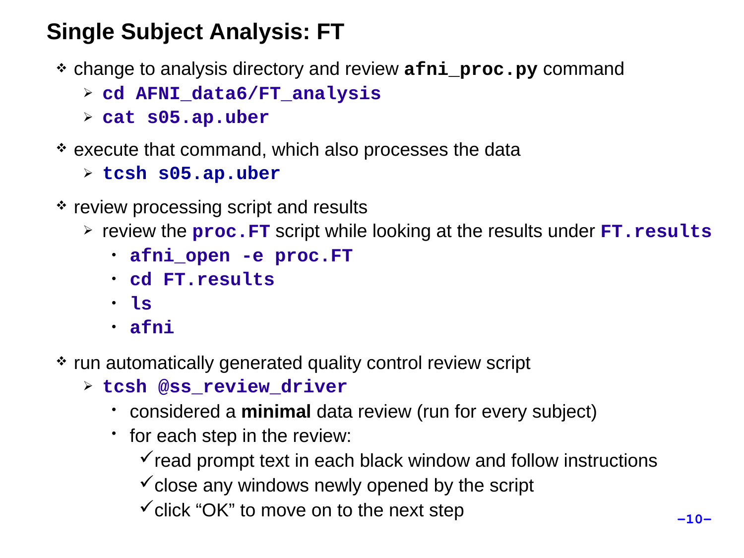# **Single Subject Analysis: FT**

- change to analysis directory and review **afni\_proc.py** command
	- **cd AFNI\_data6/FT\_analysis**
	- **cat s05.ap.uber**
- execute that command, which also processes the data
	- **tcsh s05.ap.uber**
- $\cdot$  review processing script and results
	- review the **proc.FT** script while looking at the results under **FT.results**
		- **afni\_open -e proc.FT**
		- **cd FT.results**
		- **ls**
		- **afni**
- \* run automatically generated quality control review script
	- **tcsh @ss\_review\_driver**
		- considered a **minimal** data review (run for every subject)
		- for each step in the review:
			- $\checkmark$  read prompt text in each black window and follow instructions
			- $\checkmark$  close any windows newly opened by the script
			- $\checkmark$  click "OK" to move on to the next step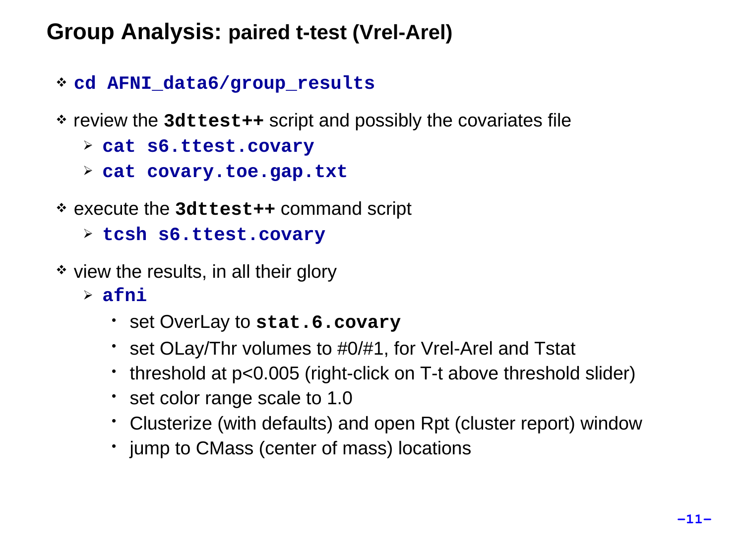# **Group Analysis: paired t-test (Vrel-Arel)**

### **cd AFNI\_data6/group\_results**

- review the **3dttest++** script and possibly the covariates file
	- **cat s6.ttest.covary**
	- **cat covary.toe.gap.txt**
- execute the **3dttest++** command script
	- **tcsh s6.ttest.covary**
- $\cdot$  view the results, in all their glory
	- **afni**
		- set OverLay to **stat.6.covary**
		- set OLay/Thr volumes to #0/#1, for Vrel-Arel and Tstat
		- threshold at p<0.005 (right-click on T-t above threshold slider)
		- set color range scale to 1.0
		- Clusterize (with defaults) and open Rpt (cluster report) window
		- jump to CMass (center of mass) locations